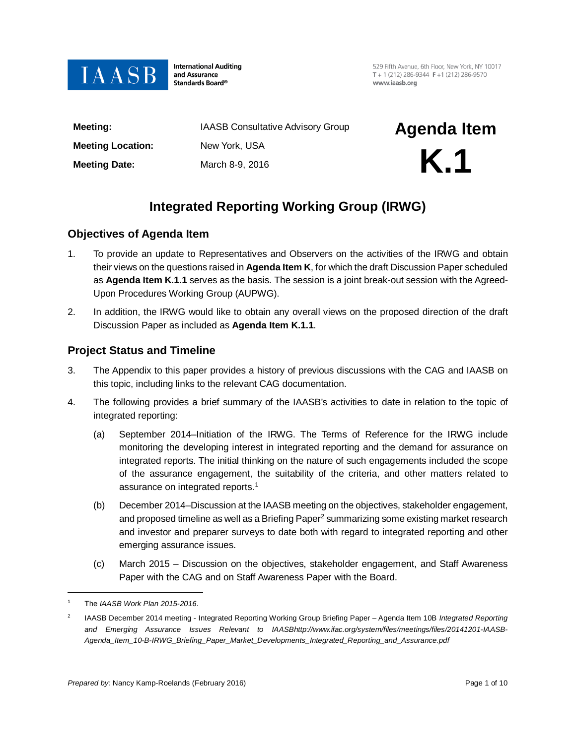

**International Auditing** and Assurance Standards Board®

529 Fifth Avenue, 6th Floor, New York, NY 10017 T + 1 (212) 286-9344  $F + 1$  (212) 286-9570 www.jaasb.org

**Meeting Date:** March 8-9, 2016

**Meeting:** IAASB Consultative Advisory Group **Agenda Item** 

# **Meeting Location:** New York, USA<br> **Meeting Date:** March 8-9, 2016

# **Integrated Reporting Working Group (IRWG)**

### **Objectives of Agenda Item**

- 1. To provide an update to Representatives and Observers on the activities of the IRWG and obtain their views on the questions raised in **Agenda Item K**, for which the draft Discussion Paper scheduled as **Agenda Item K.1.1** serves as the basis. The session is a joint break-out session with the Agreed-Upon Procedures Working Group (AUPWG).
- 2. In addition, the IRWG would like to obtain any overall views on the proposed direction of the draft Discussion Paper as included as **Agenda Item K.1.1**.

### **Project Status and Timeline**

- 3. The Appendix to this paper provides a history of previous discussions with the CAG and IAASB on this topic, including links to the relevant CAG documentation.
- 4. The following provides a brief summary of the IAASB's activities to date in relation to the topic of integrated reporting:
	- (a) September 2014–Initiation of the IRWG. The Terms of Reference for the IRWG include monitoring the developing interest in integrated reporting and the demand for assurance on integrated reports. The initial thinking on the nature of such engagements included the scope of the assurance engagement, the suitability of the criteria, and other matters related to assurance on integrated reports.<sup>[1](#page-0-0)</sup>
	- (b) December 2014–Discussion at the IAASB meeting on the objectives, stakeholder engagement, and proposed timeline as well as a Briefing Paper<sup>2</sup> summarizing some existing market research and investor and preparer surveys to date both with regard to integrated reporting and other emerging assurance issues.
	- (c) March 2015 Discussion on the objectives, stakeholder engagement, and Staff Awareness Paper with the CAG and on Staff Awareness Paper with the Board.

 $\overline{a}$ 

<span id="page-0-0"></span><sup>1</sup> The *[IAASB Work Plan 2015-2016](http://www.ifac.org/publications-resources/iaasb-work-plan-2015-2016)*.

<span id="page-0-1"></span><sup>2</sup> IAASB December 2014 meeting - Integrated Reporting Working Group Briefing Paper – Agenda Item 10B *Integrated Reporting and Emerging Assurance Issues Relevant to IAAS[Bhttp://www.ifac.org/system/files/meetings/files/20141201-IAASB-](http://www.ifac.org/system/files/meetings/files/20141201-IAASB-Agenda_Item_10-B-IRWG_Briefing_Paper_Market_Developments_Integrated_Reporting_and_Assurance.pdf)[Agenda\\_Item\\_10-B-IRWG\\_Briefing\\_Paper\\_Market\\_Developments\\_Integrated\\_Reporting\\_and\\_Assurance.pdf](http://www.ifac.org/system/files/meetings/files/20141201-IAASB-Agenda_Item_10-B-IRWG_Briefing_Paper_Market_Developments_Integrated_Reporting_and_Assurance.pdf)*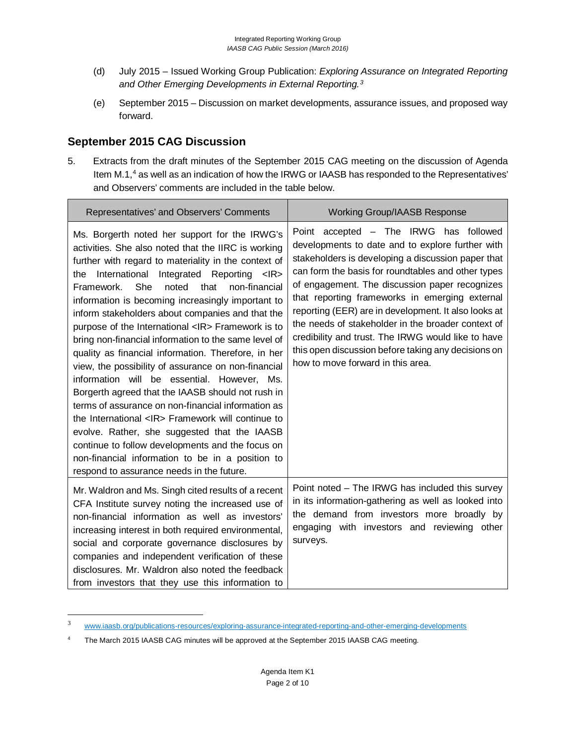- (d) July 2015 Issued Working Group Publication: *Exploring Assurance on Integrated Reporting and Other Emerging Developments in External Reporting. [3](#page-1-0)*
- (e) September 2015 Discussion on market developments, assurance issues, and proposed way forward.

### **September 2015 CAG Discussion**

5. Extracts from the draft minutes of the September 2015 CAG meeting on the discussion of Agenda Item  $M.1$ , $4$  as well as an indication of how the IRWG or IAASB has responded to the Representatives' and Observers' comments are included in the table below.

| Representatives' and Observers' Comments                                                                                                                                                                                                                                                                                                                                                                                                                                                                                                                                                                                                                                                                                                                                                                                                                                                                                                                                                                                                                                | <b>Working Group/IAASB Response</b>                                                                                                                                                                                                                                                                                                                                                                                                                                                                                                                                        |
|-------------------------------------------------------------------------------------------------------------------------------------------------------------------------------------------------------------------------------------------------------------------------------------------------------------------------------------------------------------------------------------------------------------------------------------------------------------------------------------------------------------------------------------------------------------------------------------------------------------------------------------------------------------------------------------------------------------------------------------------------------------------------------------------------------------------------------------------------------------------------------------------------------------------------------------------------------------------------------------------------------------------------------------------------------------------------|----------------------------------------------------------------------------------------------------------------------------------------------------------------------------------------------------------------------------------------------------------------------------------------------------------------------------------------------------------------------------------------------------------------------------------------------------------------------------------------------------------------------------------------------------------------------------|
| Ms. Borgerth noted her support for the IRWG's<br>activities. She also noted that the IIRC is working<br>further with regard to materiality in the context of<br>International Integrated Reporting <ir><br/>the<br/><b>She</b><br/>noted<br/>that<br/>non-financial<br/>Framework.<br/>information is becoming increasingly important to<br/>inform stakeholders about companies and that the<br/>purpose of the International <ir> Framework is to<br/>bring non-financial information to the same level of<br/>quality as financial information. Therefore, in her<br/>view, the possibility of assurance on non-financial<br/>information will be essential. However, Ms.<br/>Borgerth agreed that the IAASB should not rush in<br/>terms of assurance on non-financial information as<br/>the International <ir> Framework will continue to<br/>evolve. Rather, she suggested that the IAASB<br/>continue to follow developments and the focus on<br/>non-financial information to be in a position to<br/>respond to assurance needs in the future.</ir></ir></ir> | Point accepted - The IRWG has followed<br>developments to date and to explore further with<br>stakeholders is developing a discussion paper that<br>can form the basis for roundtables and other types<br>of engagement. The discussion paper recognizes<br>that reporting frameworks in emerging external<br>reporting (EER) are in development. It also looks at<br>the needs of stakeholder in the broader context of<br>credibility and trust. The IRWG would like to have<br>this open discussion before taking any decisions on<br>how to move forward in this area. |
| Mr. Waldron and Ms. Singh cited results of a recent<br>CFA Institute survey noting the increased use of<br>non-financial information as well as investors'<br>increasing interest in both required environmental,<br>social and corporate governance disclosures by<br>companies and independent verification of these<br>disclosures. Mr. Waldron also noted the feedback<br>from investors that they use this information to                                                                                                                                                                                                                                                                                                                                                                                                                                                                                                                                                                                                                                          | Point noted - The IRWG has included this survey<br>in its information-gathering as well as looked into<br>the demand from investors more broadly by<br>engaging with investors and reviewing other<br>surveys.                                                                                                                                                                                                                                                                                                                                                             |

<span id="page-1-0"></span> <sup>3</sup> [www.iaasb.org/publications-resources/exploring-assurance-integrated-reporting-and-other-emerging-developments](http://www.iaasb.org/publications-resources/exploring-assurance-integrated-reporting-and-other-emerging-developments)

<span id="page-1-1"></span><sup>&</sup>lt;sup>4</sup> The March 2015 IAASB CAG minutes will be approved at the September 2015 IAASB CAG meeting.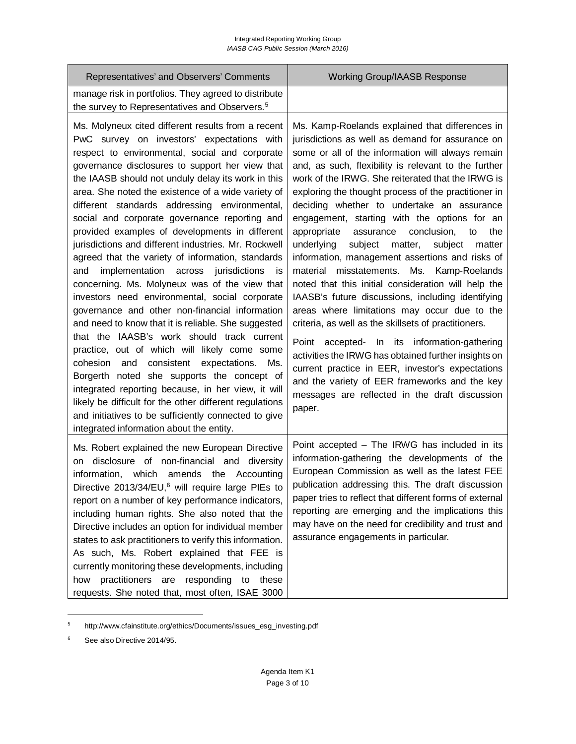| Representatives' and Observers' Comments                                                                                                                                                                                                                                                                                                                                                                                                                                                                                                                                                                                                                                                                                                                                                                                                                                                                                                                                                                                                                                                                                                                                                                                                                                  | <b>Working Group/IAASB Response</b>                                                                                                                                                                                                                                                                                                                                                                                                                                                                                                                                                                                                                                                                                                                                                                                                                                                                                                                                                                                                                                                                                                          |
|---------------------------------------------------------------------------------------------------------------------------------------------------------------------------------------------------------------------------------------------------------------------------------------------------------------------------------------------------------------------------------------------------------------------------------------------------------------------------------------------------------------------------------------------------------------------------------------------------------------------------------------------------------------------------------------------------------------------------------------------------------------------------------------------------------------------------------------------------------------------------------------------------------------------------------------------------------------------------------------------------------------------------------------------------------------------------------------------------------------------------------------------------------------------------------------------------------------------------------------------------------------------------|----------------------------------------------------------------------------------------------------------------------------------------------------------------------------------------------------------------------------------------------------------------------------------------------------------------------------------------------------------------------------------------------------------------------------------------------------------------------------------------------------------------------------------------------------------------------------------------------------------------------------------------------------------------------------------------------------------------------------------------------------------------------------------------------------------------------------------------------------------------------------------------------------------------------------------------------------------------------------------------------------------------------------------------------------------------------------------------------------------------------------------------------|
| manage risk in portfolios. They agreed to distribute<br>the survey to Representatives and Observers. <sup>5</sup>                                                                                                                                                                                                                                                                                                                                                                                                                                                                                                                                                                                                                                                                                                                                                                                                                                                                                                                                                                                                                                                                                                                                                         |                                                                                                                                                                                                                                                                                                                                                                                                                                                                                                                                                                                                                                                                                                                                                                                                                                                                                                                                                                                                                                                                                                                                              |
| Ms. Molyneux cited different results from a recent<br>PwC survey on investors' expectations with<br>respect to environmental, social and corporate<br>governance disclosures to support her view that<br>the IAASB should not unduly delay its work in this<br>area. She noted the existence of a wide variety of<br>different standards addressing environmental,<br>social and corporate governance reporting and<br>provided examples of developments in different<br>jurisdictions and different industries. Mr. Rockwell<br>agreed that the variety of information, standards<br>implementation across<br>jurisdictions<br>and<br>is<br>concerning. Ms. Molyneux was of the view that<br>investors need environmental, social corporate<br>governance and other non-financial information<br>and need to know that it is reliable. She suggested<br>that the IAASB's work should track current<br>practice, out of which will likely come some<br>cohesion and<br>consistent expectations.<br>Ms.<br>Borgerth noted she supports the concept of<br>integrated reporting because, in her view, it will<br>likely be difficult for the other different regulations<br>and initiatives to be sufficiently connected to give<br>integrated information about the entity. | Ms. Kamp-Roelands explained that differences in<br>jurisdictions as well as demand for assurance on<br>some or all of the information will always remain<br>and, as such, flexibility is relevant to the further<br>work of the IRWG. She reiterated that the IRWG is<br>exploring the thought process of the practitioner in<br>deciding whether to undertake an assurance<br>engagement, starting with the options for an<br>conclusion, to<br>appropriate<br>assurance<br>the<br>subject<br>underlying<br>matter,<br>subject<br>matter<br>information, management assertions and risks of<br>material<br>misstatements. Ms.<br>Kamp-Roelands<br>noted that this initial consideration will help the<br>IAASB's future discussions, including identifying<br>areas where limitations may occur due to the<br>criteria, as well as the skillsets of practitioners.<br>Point accepted- In its information-gathering<br>activities the IRWG has obtained further insights on<br>current practice in EER, investor's expectations<br>and the variety of EER frameworks and the key<br>messages are reflected in the draft discussion<br>paper. |
| Ms. Robert explained the new European Directive<br>disclosure of non-financial and diversity<br>on<br>information, which amends the Accounting<br>Directive 2013/34/EU, <sup>6</sup> will require large PIEs to<br>report on a number of key performance indicators,<br>including human rights. She also noted that the<br>Directive includes an option for individual member<br>states to ask practitioners to verify this information.<br>As such, Ms. Robert explained that FEE is<br>currently monitoring these developments, including<br>practitioners are responding<br>how<br>to<br>these<br>requests. She noted that, most often, ISAE 3000                                                                                                                                                                                                                                                                                                                                                                                                                                                                                                                                                                                                                      | Point accepted - The IRWG has included in its<br>information-gathering the developments of the<br>European Commission as well as the latest FEE<br>publication addressing this. The draft discussion<br>paper tries to reflect that different forms of external<br>reporting are emerging and the implications this<br>may have on the need for credibility and trust and<br>assurance engagements in particular.                                                                                                                                                                                                                                                                                                                                                                                                                                                                                                                                                                                                                                                                                                                            |

<span id="page-2-0"></span><sup>5</sup> [http://www.cfainstitute.org/ethics/Documents/issues\\_esg\\_investing.pdf](http://www.cfainstitute.org/ethics/Documents/issues_esg_investing.pdf)

 $\overline{a}$ 

<span id="page-2-1"></span><sup>6</sup> See als[o Directive 2014/95.](http://eur-lex.europa.eu/legal-content/EN/TXT/?uri=CELEX:32014L0095)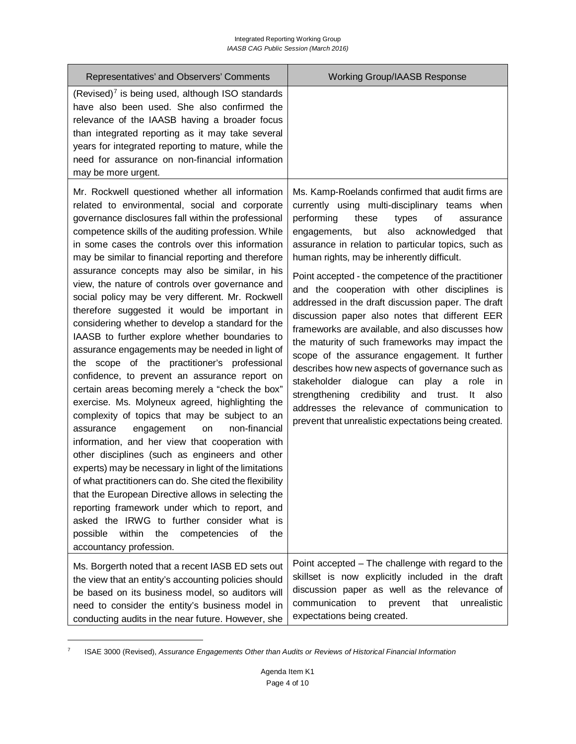| Representatives' and Observers' Comments                                                                                                                                                                                                                                                                                                                                                                                                                                                                                                                                                                                                                                                                                                                                                                                                                                                                                                                                                                                                                                                                                                                                                                                                                                                                                                                                                                                                                                        | <b>Working Group/IAASB Response</b>                                                                                                                                                                                                                                                                                                                                                                                                                                                                                                                                                                                                                                                                                                                                                                                                                                                                                                                        |
|---------------------------------------------------------------------------------------------------------------------------------------------------------------------------------------------------------------------------------------------------------------------------------------------------------------------------------------------------------------------------------------------------------------------------------------------------------------------------------------------------------------------------------------------------------------------------------------------------------------------------------------------------------------------------------------------------------------------------------------------------------------------------------------------------------------------------------------------------------------------------------------------------------------------------------------------------------------------------------------------------------------------------------------------------------------------------------------------------------------------------------------------------------------------------------------------------------------------------------------------------------------------------------------------------------------------------------------------------------------------------------------------------------------------------------------------------------------------------------|------------------------------------------------------------------------------------------------------------------------------------------------------------------------------------------------------------------------------------------------------------------------------------------------------------------------------------------------------------------------------------------------------------------------------------------------------------------------------------------------------------------------------------------------------------------------------------------------------------------------------------------------------------------------------------------------------------------------------------------------------------------------------------------------------------------------------------------------------------------------------------------------------------------------------------------------------------|
| (Revised) $7$ is being used, although ISO standards<br>have also been used. She also confirmed the<br>relevance of the IAASB having a broader focus<br>than integrated reporting as it may take several<br>years for integrated reporting to mature, while the<br>need for assurance on non-financial information<br>may be more urgent.                                                                                                                                                                                                                                                                                                                                                                                                                                                                                                                                                                                                                                                                                                                                                                                                                                                                                                                                                                                                                                                                                                                                        |                                                                                                                                                                                                                                                                                                                                                                                                                                                                                                                                                                                                                                                                                                                                                                                                                                                                                                                                                            |
| Mr. Rockwell questioned whether all information<br>related to environmental, social and corporate<br>governance disclosures fall within the professional<br>competence skills of the auditing profession. While<br>in some cases the controls over this information<br>may be similar to financial reporting and therefore<br>assurance concepts may also be similar, in his<br>view, the nature of controls over governance and<br>social policy may be very different. Mr. Rockwell<br>therefore suggested it would be important in<br>considering whether to develop a standard for the<br>IAASB to further explore whether boundaries to<br>assurance engagements may be needed in light of<br>the scope of the practitioner's professional<br>confidence, to prevent an assurance report on<br>certain areas becoming merely a "check the box"<br>exercise. Ms. Molyneux agreed, highlighting the<br>complexity of topics that may be subject to an<br>non-financial<br>assurance<br>engagement<br>on<br>information, and her view that cooperation with<br>other disciplines (such as engineers and other<br>experts) may be necessary in light of the limitations<br>of what practitioners can do. She cited the flexibility<br>that the European Directive allows in selecting the<br>reporting framework under which to report, and<br>asked the IRWG to further consider what is<br>possible<br>within<br>the<br>competencies<br>of<br>the<br>accountancy profession. | Ms. Kamp-Roelands confirmed that audit firms are<br>currently using multi-disciplinary teams when<br>performing<br>these<br>types<br>of<br>assurance<br>also acknowledged<br>engagements,<br>but<br>that<br>assurance in relation to particular topics, such as<br>human rights, may be inherently difficult.<br>Point accepted - the competence of the practitioner<br>and the cooperation with other disciplines is<br>addressed in the draft discussion paper. The draft<br>discussion paper also notes that different EER<br>frameworks are available, and also discusses how<br>the maturity of such frameworks may impact the<br>scope of the assurance engagement. It further<br>describes how new aspects of governance such as<br>stakeholder dialogue can play a<br>role<br>- in<br>credibility and trust.<br>strengthening<br>also<br>It<br>addresses the relevance of communication to<br>prevent that unrealistic expectations being created. |
| Ms. Borgerth noted that a recent IASB ED sets out<br>the view that an entity's accounting policies should<br>be based on its business model, so auditors will<br>need to consider the entity's business model in<br>conducting audits in the near future. However, she                                                                                                                                                                                                                                                                                                                                                                                                                                                                                                                                                                                                                                                                                                                                                                                                                                                                                                                                                                                                                                                                                                                                                                                                          | Point accepted – The challenge with regard to the<br>skillset is now explicitly included in the draft<br>discussion paper as well as the relevance of<br>communication<br>to<br>prevent<br>that<br>unrealistic<br>expectations being created.                                                                                                                                                                                                                                                                                                                                                                                                                                                                                                                                                                                                                                                                                                              |

<span id="page-3-0"></span><sup>7</sup> ISAE 3000 (Revised), *Assurance Engagements Other than Audits or Reviews of Historical Financial Information* 

 $\overline{a}$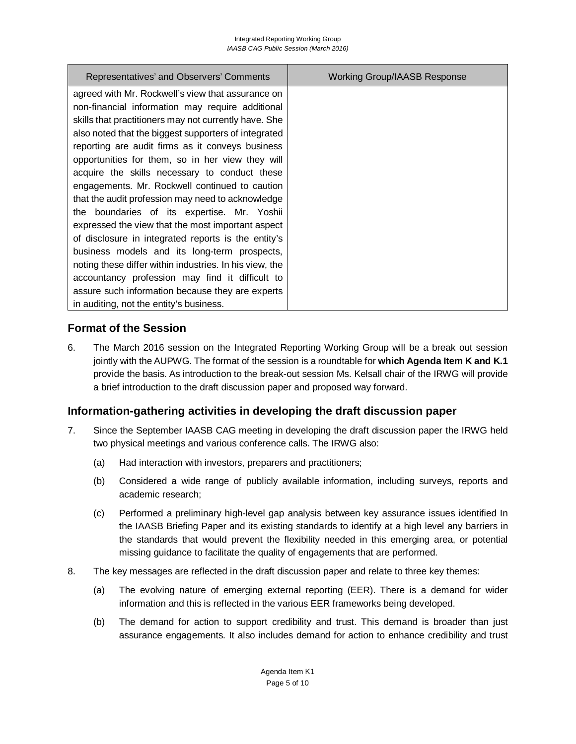| Representatives' and Observers' Comments                | Working Group/IAASB Response |
|---------------------------------------------------------|------------------------------|
| agreed with Mr. Rockwell's view that assurance on       |                              |
| non-financial information may require additional        |                              |
| skills that practitioners may not currently have. She   |                              |
| also noted that the biggest supporters of integrated    |                              |
| reporting are audit firms as it conveys business        |                              |
| opportunities for them, so in her view they will        |                              |
| acquire the skills necessary to conduct these           |                              |
| engagements. Mr. Rockwell continued to caution          |                              |
| that the audit profession may need to acknowledge       |                              |
| the boundaries of its expertise. Mr. Yoshii             |                              |
| expressed the view that the most important aspect       |                              |
| of disclosure in integrated reports is the entity's     |                              |
| business models and its long-term prospects,            |                              |
| noting these differ within industries. In his view, the |                              |
| accountancy profession may find it difficult to         |                              |
| assure such information because they are experts        |                              |
| in auditing, not the entity's business.                 |                              |

### **Format of the Session**

6. The March 2016 session on the Integrated Reporting Working Group will be a break out session jointly with the AUPWG. The format of the session is a roundtable for **which Agenda Item K and K.1**  provide the basis. As introduction to the break-out session Ms. Kelsall chair of the IRWG will provide a brief introduction to the draft discussion paper and proposed way forward.

## **Information-gathering activities in developing the draft discussion paper**

- 7. Since the September IAASB CAG meeting in developing the draft discussion paper the IRWG held two physical meetings and various conference calls. The IRWG also:
	- (a) Had interaction with investors, preparers and practitioners;
	- (b) Considered a wide range of publicly available information, including surveys, reports and academic research;
	- (c) Performed a preliminary high-level gap analysis between key assurance issues identified In the IAASB Briefing Paper and its existing standards to identify at a high level any barriers in the standards that would prevent the flexibility needed in this emerging area, or potential missing guidance to facilitate the quality of engagements that are performed.
- 8. The key messages are reflected in the draft discussion paper and relate to three key themes:
	- (a) The evolving nature of emerging external reporting (EER). There is a demand for wider information and this is reflected in the various EER frameworks being developed.
	- (b) The demand for action to support credibility and trust. This demand is broader than just assurance engagements. It also includes demand for action to enhance credibility and trust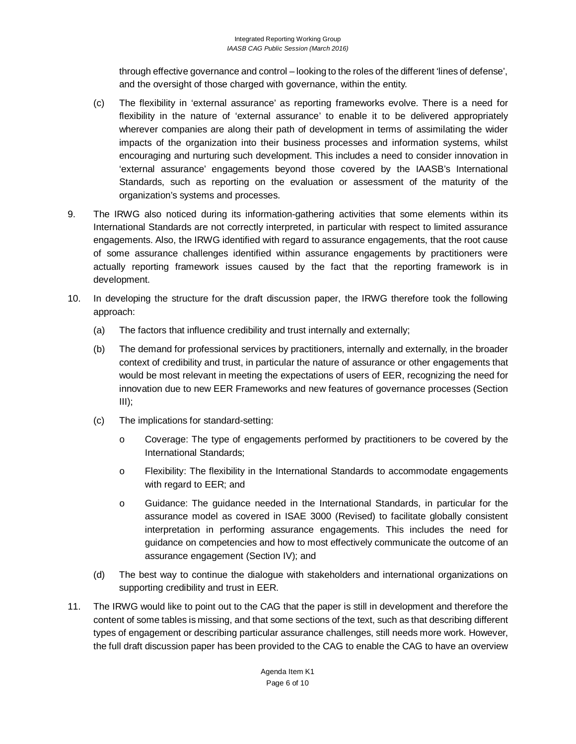through effective governance and control – looking to the roles of the different 'lines of defense', and the oversight of those charged with governance, within the entity.

- (c) The flexibility in 'external assurance' as reporting frameworks evolve. There is a need for flexibility in the nature of 'external assurance' to enable it to be delivered appropriately wherever companies are along their path of development in terms of assimilating the wider impacts of the organization into their business processes and information systems, whilst encouraging and nurturing such development. This includes a need to consider innovation in 'external assurance' engagements beyond those covered by the IAASB's International Standards, such as reporting on the evaluation or assessment of the maturity of the organization's systems and processes.
- 9. The IRWG also noticed during its information-gathering activities that some elements within its International Standards are not correctly interpreted, in particular with respect to limited assurance engagements. Also, the IRWG identified with regard to assurance engagements, that the root cause of some assurance challenges identified within assurance engagements by practitioners were actually reporting framework issues caused by the fact that the reporting framework is in development.
- 10. In developing the structure for the draft discussion paper, the IRWG therefore took the following approach:
	- (a) The factors that influence credibility and trust internally and externally;
	- (b) The demand for professional services by practitioners, internally and externally, in the broader context of credibility and trust, in particular the nature of assurance or other engagements that would be most relevant in meeting the expectations of users of EER, recognizing the need for innovation due to new EER Frameworks and new features of governance processes (Section  $III$ );
	- (c) The implications for standard-setting:
		- o Coverage: The type of engagements performed by practitioners to be covered by the International Standards;
		- o Flexibility: The flexibility in the International Standards to accommodate engagements with regard to EER; and
		- o Guidance: The guidance needed in the International Standards, in particular for the assurance model as covered in ISAE 3000 (Revised) to facilitate globally consistent interpretation in performing assurance engagements. This includes the need for guidance on competencies and how to most effectively communicate the outcome of an assurance engagement (Section IV); and
	- (d) The best way to continue the dialogue with stakeholders and international organizations on supporting credibility and trust in EER.
- 11. The IRWG would like to point out to the CAG that the paper is still in development and therefore the content of some tables is missing, and that some sections of the text, such as that describing different types of engagement or describing particular assurance challenges, still needs more work. However, the full draft discussion paper has been provided to the CAG to enable the CAG to have an overview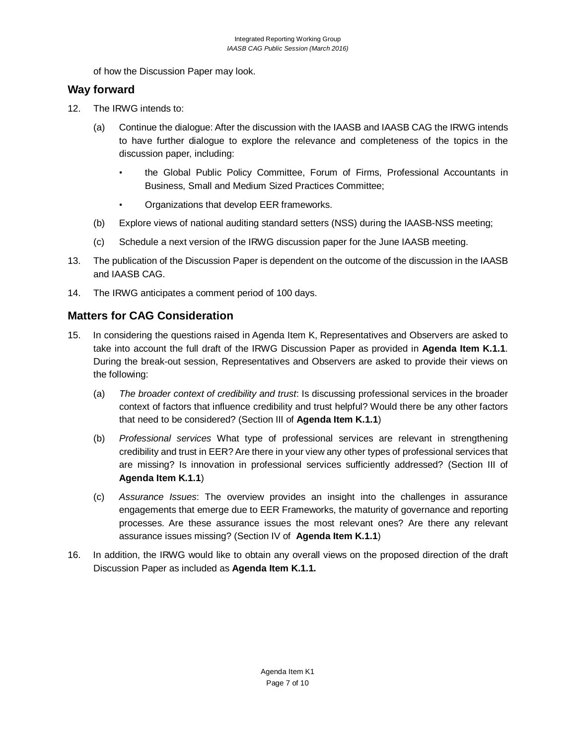of how the Discussion Paper may look.

#### **Way forward**

- 12. The IRWG intends to:
	- (a) Continue the dialogue: After the discussion with the IAASB and IAASB CAG the IRWG intends to have further dialogue to explore the relevance and completeness of the topics in the discussion paper, including:
		- the Global Public Policy Committee, Forum of Firms, Professional Accountants in Business, Small and Medium Sized Practices Committee;
		- Organizations that develop EER frameworks.
	- (b) Explore views of national auditing standard setters (NSS) during the IAASB-NSS meeting;
	- (c) Schedule a next version of the IRWG discussion paper for the June IAASB meeting.
- 13. The publication of the Discussion Paper is dependent on the outcome of the discussion in the IAASB and IAASB CAG.
- 14. The IRWG anticipates a comment period of 100 days.

### **Matters for CAG Consideration**

- 15. In considering the questions raised in Agenda Item K, Representatives and Observers are asked to take into account the full draft of the IRWG Discussion Paper as provided in **Agenda Item K.1.1**. During the break-out session, Representatives and Observers are asked to provide their views on the following:
	- (a) *The broader context of credibility and trust*: Is discussing professional services in the broader context of factors that influence credibility and trust helpful? Would there be any other factors that need to be considered? (Section III of **Agenda Item K.1.1**)
	- (b) *Professional services* What type of professional services are relevant in strengthening credibility and trust in EER? Are there in your view any other types of professional services that are missing? Is innovation in professional services sufficiently addressed? (Section III of **Agenda Item K.1.1**)
	- (c) *Assurance Issues*: The overview provides an insight into the challenges in assurance engagements that emerge due to EER Frameworks, the maturity of governance and reporting processes. Are these assurance issues the most relevant ones? Are there any relevant assurance issues missing? (Section IV of **Agenda Item K.1.1**)
- 16. In addition, the IRWG would like to obtain any overall views on the proposed direction of the draft Discussion Paper as included as **Agenda Item K.1.1.**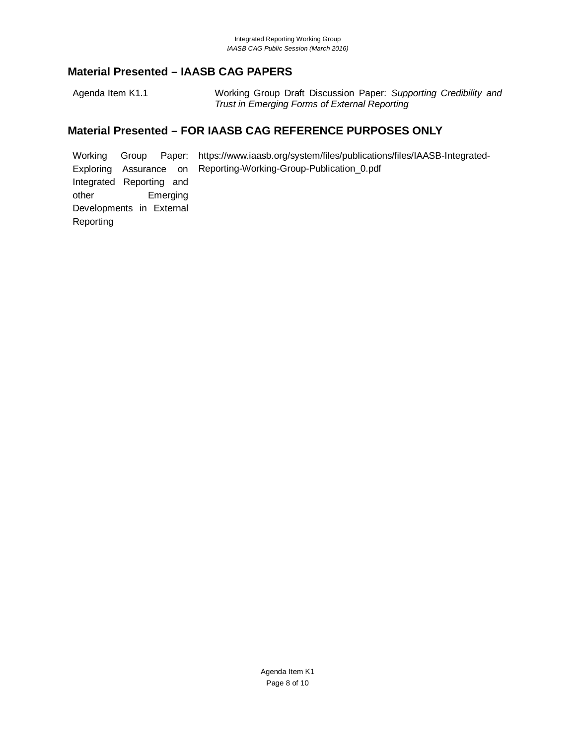## **Material Presented – IAASB CAG PAPERS**

Agenda Item K1.1 Working Group Draft Discussion Paper: *Supporting Credibility and Trust in Emerging Forms of External Reporting*

#### **Material Presented – FOR IAASB CAG REFERENCE PURPOSES ONLY**

Working Group Paper: https://www.iaasb.org/system/files/publications/files/IAASB-Integrated-Exploring Assurance on Integrated Reporting and other Emerging Developments in External Reporting Reporting-Working-Group-Publication\_0.pdf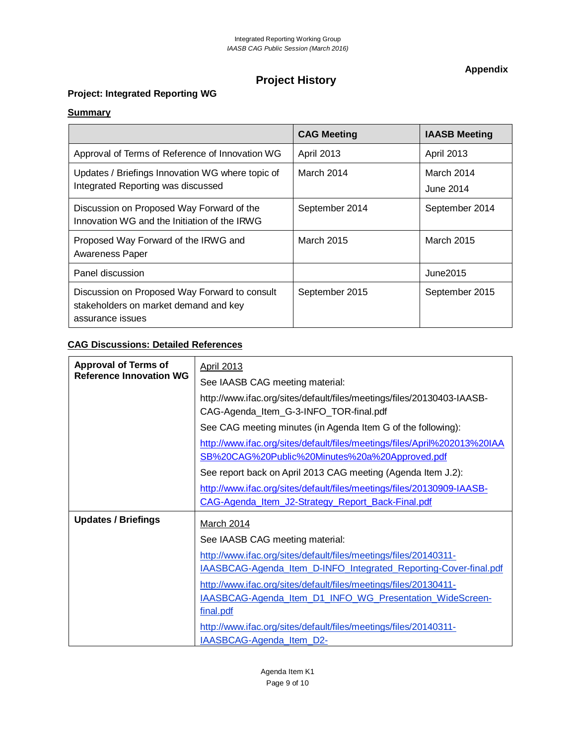**Appendix**

# **Project History**

### **Project: Integrated Reporting WG**

#### **Summary**

|                                                                                                            | <b>CAG Meeting</b> | <b>IAASB Meeting</b>    |
|------------------------------------------------------------------------------------------------------------|--------------------|-------------------------|
| Approval of Terms of Reference of Innovation WG                                                            | April 2013         | <b>April 2013</b>       |
| Updates / Briefings Innovation WG where topic of<br>Integrated Reporting was discussed                     | March 2014         | March 2014<br>June 2014 |
| Discussion on Proposed Way Forward of the<br>Innovation WG and the Initiation of the IRWG                  | September 2014     | September 2014          |
| Proposed Way Forward of the IRWG and<br><b>Awareness Paper</b>                                             | March 2015         | March 2015              |
| Panel discussion                                                                                           |                    | June2015                |
| Discussion on Proposed Way Forward to consult<br>stakeholders on market demand and key<br>assurance issues | September 2015     | September 2015          |

#### **CAG Discussions: Detailed References**

| <b>Approval of Terms of</b>    | <b>April 2013</b>                                                         |
|--------------------------------|---------------------------------------------------------------------------|
| <b>Reference Innovation WG</b> | See IAASB CAG meeting material:                                           |
|                                | http://www.ifac.org/sites/default/files/meetings/files/20130403-IAASB-    |
|                                | CAG-Agenda_Item_G-3-INFO_TOR-final.pdf                                    |
|                                | See CAG meeting minutes (in Agenda Item G of the following):              |
|                                | http://www.ifac.org/sites/default/files/meetings/files/April%202013%20IAA |
|                                | SB%20CAG%20Public%20Minutes%20a%20Approved.pdf                            |
|                                | See report back on April 2013 CAG meeting (Agenda Item J.2):              |
|                                | http://www.ifac.org/sites/default/files/meetings/files/20130909-IAASB-    |
|                                | CAG-Agenda Item J2-Strategy Report Back-Final.pdf                         |
| <b>Updates / Briefings</b>     | <b>March 2014</b>                                                         |
|                                | See IAASB CAG meeting material:                                           |
|                                | http://www.ifac.org/sites/default/files/meetings/files/20140311-          |
|                                | IAASBCAG-Agenda_Item_D-INFO_Integrated_Reporting-Cover-final.pdf          |
|                                | http://www.ifac.org/sites/default/files/meetings/files/20130411-          |
|                                | IAASBCAG-Agenda Item D1 INFO WG Presentation WideScreen-                  |
|                                | final.pdf                                                                 |
|                                | http://www.ifac.org/sites/default/files/meetings/files/20140311-          |
|                                | <b>IAASBCAG-Agenda Item D2-</b>                                           |